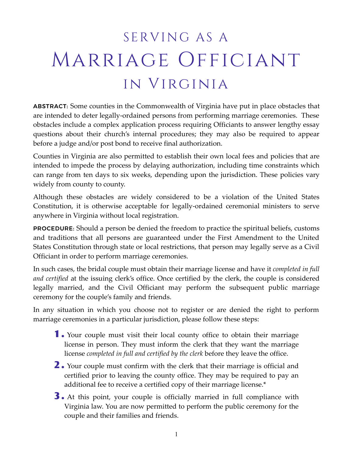# SERVING AS A Marriage Officiant in Virginia

ABSTRACT: Some counties in the Commonwealth of Virginia have put in place obstacles that are intended to deter legally-ordained persons from performing marriage ceremonies. These obstacles include a complex application process requiring Officiants to answer lengthy essay questions about their church's internal procedures; they may also be required to appear before a judge and/or post bond to receive final authorization.

Counties in Virginia are also permitted to establish their own local fees and policies that are intended to impede the process by delaying authorization, including time constraints which can range from ten days to six weeks, depending upon the jurisdiction. These policies vary widely from county to county.

Although these obstacles are widely considered to be a violation of the United States Constitution, it is otherwise acceptable for legally-ordained ceremonial ministers to serve anywhere in Virginia without local registration.

PROCEDURE: Should a person be denied the freedom to practice the spiritual beliefs, customs and traditions that all persons are guaranteed under the First Amendment to the United States Constitution through state or local restrictions, that person may legally serve as a Civil Officiant in order to perform marriage ceremonies.

In such cases, the bridal couple must obtain their marriage license and have it *completed in full and certified* at the issuing clerk's office. Once certified by the clerk, the couple is considered legally married, and the Civil Officiant may perform the subsequent public marriage ceremony for the couple's family and friends.

In any situation in which you choose not to register or are denied the right to perform marriage ceremonies in a particular jurisdiction, please follow these steps:

- 1 . Your couple must visit their local county office to obtain their marriage license in person. They must inform the clerk that they want the marriage license *completed in full and certified by the clerk* before they leave the office.
- 2 . Your couple must confirm with the clerk that their marriage is official and certified prior to leaving the county office. They may be required to pay an additional fee to receive a certified copy of their marriage license.\*
- 3 . At this point, your couple is officially married in full compliance with Virginia law. You are now permitted to perform the public ceremony for the couple and their families and friends.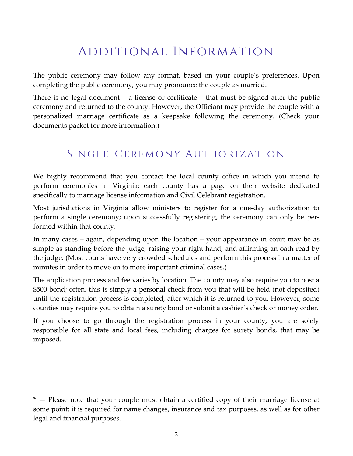## Additional Information

The public ceremony may follow any format, based on your couple's preferences. Upon completing the public ceremony, you may pronounce the couple as married.

There is no legal document – a license or certificate – that must be signed after the public ceremony and returned to the county. However, the Officiant may provide the couple with a personalized marriage certificate as a keepsake following the ceremony. (Check your documents packet for more information.)

### Single-Ceremony Authorization

We highly recommend that you contact the local county office in which you intend to perform ceremonies in Virginia; each county has a page on their website dedicated specifically to marriage license information and Civil Celebrant registration.

Most jurisdictions in Virginia allow ministers to register for a one-day authorization to perform a single ceremony; upon successfully registering, the ceremony can only be performed within that county.

In many cases – again, depending upon the location – your appearance in court may be as simple as standing before the judge, raising your right hand, and affirming an oath read by the judge. (Most courts have very crowded schedules and perform this process in a matter of minutes in order to move on to more important criminal cases.)

The application process and fee varies by location. The county may also require you to post a \$500 bond; often, this is simply a personal check from you that will be held (not deposited) until the registration process is completed, after which it is returned to you. However, some counties may require you to obtain a surety bond or submit a cashier's check or money order.

If you choose to go through the registration process in your county, you are solely responsible for all state and local fees, including charges for surety bonds, that may be imposed.

\_\_\_\_\_\_\_\_\_\_\_\_\_\_\_\_\_

<sup>\* —</sup> Please note that your couple must obtain a certified copy of their marriage license at some point; it is required for name changes, insurance and tax purposes, as well as for other legal and financial purposes.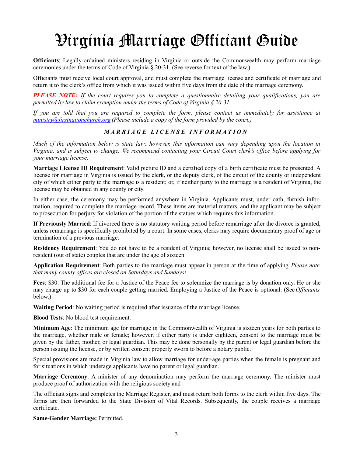# Virginia Marriage Officiant Guide

**Officiants**: Legally-ordained ministers residing in Virginia or outside the Commonwealth may perform marriage ceremonies under the terms of Code of Virginia § 20-31. (See reverse for text of the law.)

Officiants must receive local court approval, and must complete the marriage license and certificate of marriage and return it to the clerk's office from which it was issued within five days from the date of the marriage ceremony.

*PLEASE NOTE: If the court requires you to complete a questionnaire detailing your qualifications, you are permitted by law to claim exemption under the terms of Code of Virginia § 20-31.* 

*If you are told that you are required to complete the form, please contact us immediately for assistance at [ministry@firstnationchurch.org](mailto:ministry@firstnationchurch.org) (Please include a copy of the form provided by the court.)* 

#### *MARRIAGE LICENSE INFORMATION*

*Much of the information below is state law; however, this information can vary depending upon the location in Virginia, and is subject to change. We recommend contacting your Circuit Court clerk's office before applying for your marriage license.* 

**Marriage License ID Requirement**: Valid picture ID and a certified copy of a birth certificate must be presented. A license for marriage in Virginia is issued by the clerk, or the deputy clerk, of the circuit of the county or independent city of which either party to the marriage is a resident; or, if neither party to the marriage is a resident of Virginia, the license may be obtained in any county or city.

In either case, the ceremony may be performed anywhere in Virginia. Applicants must, under oath, furnish information, required to complete the marriage record. These items are material matters, and the applicant may be subject to prosecution for perjury for violation of the portion of the statues which requires this information.

**If Previously Married**: If divorced there is no statutory waiting period before remarriage after the divorce is granted, unless remarriage is specifically prohibited by a court. In some cases, clerks may require documentary proof of age or termination of a previous marriage.

**Residency Requirement**: You do not have to be a resident of Virginia; however, no license shall be issued to nonresident (out of state) couples that are under the age of sixteen.

**Application Requirement**: Both parties to the marriage must appear in person at the time of applying. *Please note that many county offices are closed on Saturdays and Sundays!*

**Fees**: \$30. The additional fee for a Justice of the Peace fee to solemnize the marriage is by donation only. He or she may charge up to \$30 for each couple getting married. Employing a Justice of the Peace is optional. (See *Officiants* below.)

**Waiting Period**: No waiting period is required after issuance of the marriage license.

**Blood Tests**: No blood test requirement.

**Minimum Age**: The minimum age for marriage in the Commonwealth of Virginia is sixteen years for both parties to the marriage, whether male or female; however, if either party is under eighteen, consent to the marriage must be given by the father, mother, or legal guardian. This may be done personally by the parent or legal guardian before the person issuing the license, or by written consent properly sworn to before a notary public.

Special provisions are made in Virginia law to allow marriage for under-age parties when the female is pregnant and for situations in which underage applicants have no parent or legal guardian.

**Marriage Ceremony**: A minister of any denomination may perform the marriage ceremony. The minister must produce proof of authorization with the religious society and

The officiant signs and completes the Marriage Register, and must return both forms to the clerk within five days. The forms are then forwarded to the State Division of Vital Records. Subsequently, the couple receives a marriage certificate.

**Same-Gender Marriage:** Permitted.